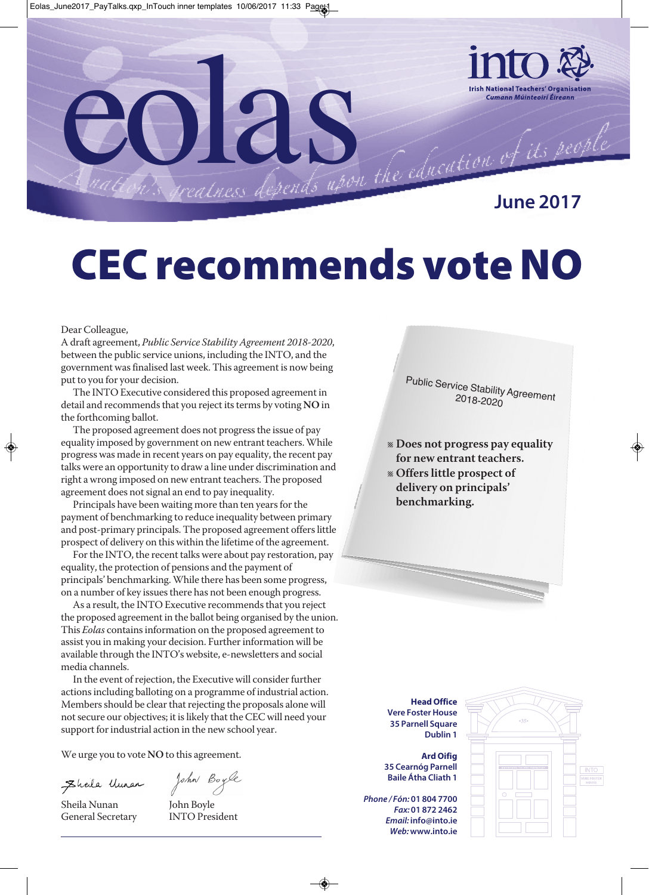

**June 2017**

# **CEC recommends vote NO**

Dear Colleague,

A draft agreement, *Public Service StabilityAgreement 2018-2020*, between the public service unions, including the INTO, and the government was finalised last week. This agreement is now being put to you for your decision.

The INTO Executive considered this proposed agreement in detail and recommends that you reject its terms by voting NO in the forthcoming ballot.

The proposed agreement does not progress the issue of pay equality imposed by government on new entrant teachers.While progress was made in recent years on pay equality, the recent pay talks were an opportunity to draw a line under discrimination and right a wrong imposed on new entrant teachers. The proposed agreement does not signal an end to pay inequality.

Principals have been waiting more than ten years for the payment of benchmarking to reduce inequality between primary and post-primary principals. The proposed agreement offers little prospect of delivery on this within the lifetime of the agreement.

For the INTO, the recent talks were about pay restoration, pay equality, the protection of pensions and the payment of principals' benchmarking.While there has been some progress, on a number of key issues there has not been enough progress.

As a result, the INTO Executive recommends that you reject the proposed agreement in the ballot being organised by the union. This *Eolas* containsinformation on the proposed agreement to assist you in making your decision. Further information will be available through the INTO's website, e-newsletters and social media channels.

In the event of rejection, the Executive will consider further actions including balloting on a programme of industrial action. Members should be clear that rejecting the proposals alone will not secure our objectives; it is likely that the CEC will need your support for industrial action in the new school year.

We urge you to vote **NO** to this agreement.

Ehala Uman

John Boyle

Sheila Nunan John Boyle General Secretary INTO President

Public Serv 2 ic 0 e 1 S Stability Agreement<br>8-2020 2018-2020

- l **Does not progress pay equality for new entrant teachers.**
- l **Offers little prospect of delivery on principals' benchmarking.**

**Head Office Vere Foster House 35 Parnell Square Dublin 1**

**Ard Oifig 35 Cearnóg Parnell Baile Átha Cliath 1**

*Phone / Fón:* **01 804 7700** *Fax:* **01 872 2462** *Email:* **info@into.ie** *Web:***www.into.ie**

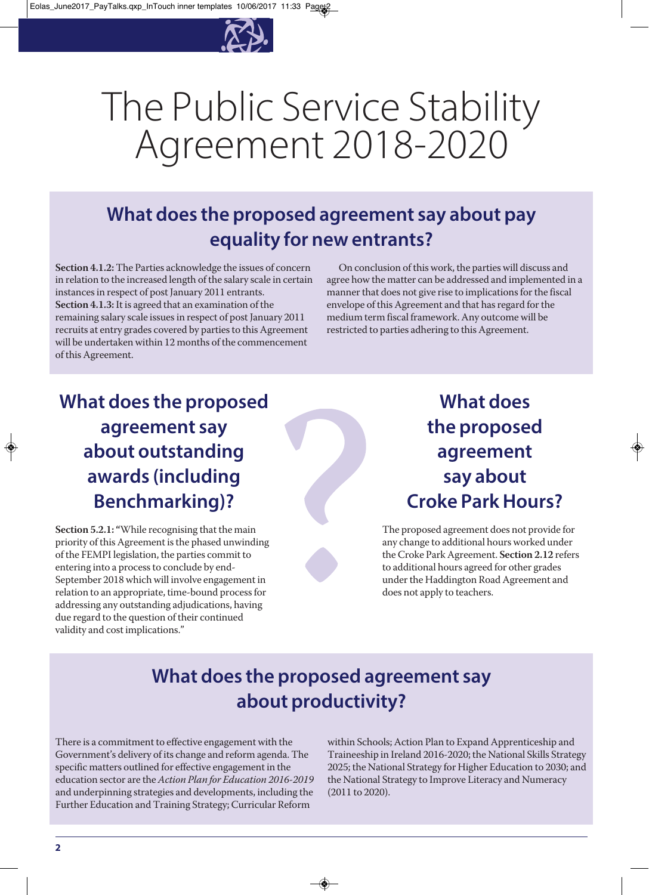

# The Public Service Stability Agreement 2018-2020

# **What does the proposed agreement say about pay equality for new entrants?**

**Section 4.1.2:**The Parties acknowledge the issues of concern in relation to the increased length of the salary scale in certain instancesin respect of post January 2011 entrants. **Section 4.1.3:**It is agreed that an examination of the remaining salary scale issues in respect of post January 2011 recruits at entry grades covered by parties to this Agreement will be undertaken within 12 months of the commencement of this Agreement.

On conclusion of this work, the parties will discuss and agree how the matter can be addressed and implemented in a manner that does not give rise to implications for the fiscal envelope of this Agreement and that has regard for the medium term fiscal framework. Any outcome will be restricted to parties adhering to this Agreement.

# **What does the proposed agreement say about outstanding awards (including Benchmarking)?**

**Section 5.2.1: "**While recognising that the main priority of this Agreement isthe phased unwinding of the FEMPIlegislation, the parties commit to entering into a process to conclude by end-September 2018 which will involve engagement in relation to an appropriate, time-bound processfor addressing any outstanding adjudications, having due regard to the question of their continued validity and cost implications."

# **What does the proposed agreement say about Croke ParkHours?**

The proposed agreement does not provide for any change to additional hours worked under theCroke Park Agreement. **Section 2.12** refers to additional hours agreed for other grades under the Haddington Road Agreement and does not apply to teachers.

## **What does the proposed agreement say about productivity?**

There is a commitment to effective engagement with the Government's delivery of its change and reform agenda. The specific matters outlined for effective engagement in the education sector are the*Action Plan for Education 2016-2019* and underpinning strategies and developments, including the Further Education and Training Strategy; Curricular Reform

within Schools; Action Plan to Expand Apprenticeship and Traineeship in Ireland 2016-2020; the National Skills Strategy 2025; the National Strategy for Higher Education to 2030; and the National Strategy to Improve Literacy and Numeracy (2011 to 2020).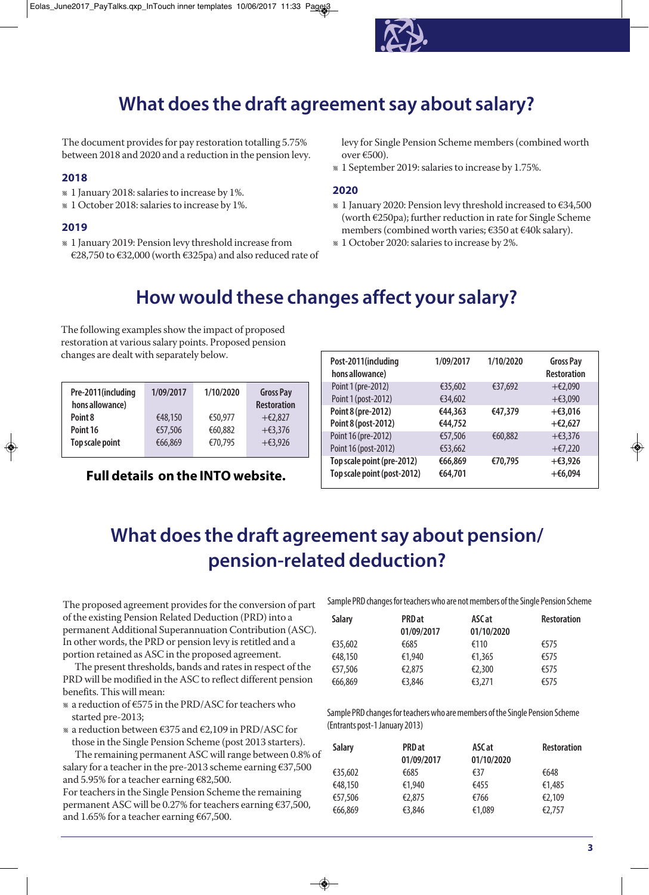

### **What does the draft agreement say about salary?**

The document provides for pay restoration totalling 5.75% between 2018 and 2020 and a reduction in the pension levy.

#### **2018**

- l 1 January 2018:salariesto increase by 1%.
- l 1 October 2018:salariesto increase by 1%.

#### **2019**

l 1 January 2019: Pension levy threshold increase from €28,750 to €32,000 (worth €325pa) and also reduced rate of levy for Single Pension Scheme members(combined worth  $over €500$ ).

l 1 September 2019:salariesto increase by 1.75%.

#### **2020**

- l 1 January 2020: Pension levy threshold increased to €34,500 (worth  $E250pa$ ); further reduction in rate for Single Scheme members(combined worth varies; €350 at €40k salary).
- l 1 October 2020:salariesto increase by 2%.

#### **How would these changes affect your salary?**

The following examples show the impact of proposed restoration at various salary points. Proposed pension changes are dealt with separately below.

| 1/09/2017 | 1/10/2020 | <b>Gross Pay</b><br><b>Restoration</b> |
|-----------|-----------|----------------------------------------|
| €48,150   | €50.977   | $+$ €2.827                             |
| €57,506   | €60.882   | $+63,376$                              |
| €66,869   | €70,795   | $+63,926$                              |
|           |           |                                        |

#### **Full details on the INTO website.**

| Post-2011(including<br>hons allowance) | 1/09/2017 | 1/10/2020 | <b>Gross Pay</b><br><b>Restoration</b> |
|----------------------------------------|-----------|-----------|----------------------------------------|
| Point 1 (pre-2012)                     | €35,602   | €37,692   | $+$ €2,090                             |
| Point 1 (post-2012)                    | €34,602   |           | $+63,090$                              |
| Point 8 (pre-2012)                     | €44,363   | €47,379   | $+63,016$                              |
| Point 8 (post-2012)                    | €44,752   |           | $+£2,627$                              |
| Point 16 (pre-2012)                    | €57,506   | €60,882   | $+63,376$                              |
| Point 16 (post-2012)                   | €53,662   |           | $+57,220$                              |
| Top scale point (pre-2012)             | €66,869   | €70.795   | $+63,926$                              |
| Top scale point (post-2012)            | €64,701   |           | $+66,094$                              |

#### **What does the draft agreement say about pension/ pension-related deduction?**

The proposed agreement provides for the conversion of part of the existing Pension Related Deduction (PRD) into a permanent Additional Superannuation Contribution (ASC). In other words, the PRD or pension levy is retitled and a portion retained as ASC in the proposed agreement.

The present thresholds, bands and rates in respect of the PRD will be modified in the ASC to reflect different pension benefits. This will mean:

- l a reduction of €575 in the PRD/ASCforteachers who started pre-2013;
- l a reduction between €375 and €2,109 in PRD/ASCfor those in the Single Pension Scheme (post 2013 starters).

The remaining permanent ASC will range between 0.8% of salary for a teacher in the pre-2013 scheme earning  $€37,500$ and 5.95% for a teacher earning €82,500.

For teachers in the Single Pension Scheme the remaining permanent ASC will be 0.27% for teachers earning €37,500, and 1.65% for a teacher earning  $€67,500$ .

Sample PRD changes for teachers who are not members of the Single Pension Scheme

| <b>Salary</b> | <b>PRD</b> at<br>01/09/2017 | ASC at<br>01/10/2020 | <b>Restoration</b> |
|---------------|-----------------------------|----------------------|--------------------|
| €35,602       | €685                        | €110                 | €575               |
| €48,150       | €1.940                      | €1,365               | €575               |
| €57,506       | €2,875                      | €2,300               | €575               |
| €66,869       | €3,846                      | €3,271               | €575               |

Sample PRD changes for teachers who are members of the Single Pension Scheme (Entrants post-1 January 2013)

| <b>Salary</b> | <b>PRD</b> at<br>01/09/2017 | ASC at<br>01/10/2020 | <b>Restoration</b> |
|---------------|-----------------------------|----------------------|--------------------|
| €35,602       | €685                        | €37                  | €648               |
| €48,150       | €1,940                      | €455                 | €1,485             |
| €57,506       | €2,875                      | €766                 | €2,109             |
| €66,869       | €3,846                      | €1,089               | €2,757             |
|               |                             |                      |                    |